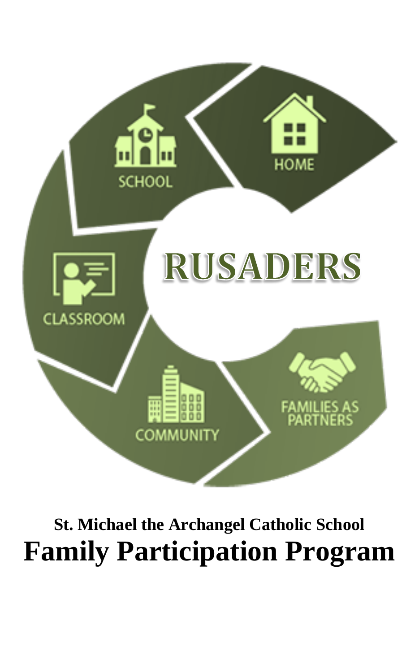

## **St. Michael the Archangel Catholic School Family Participation Program**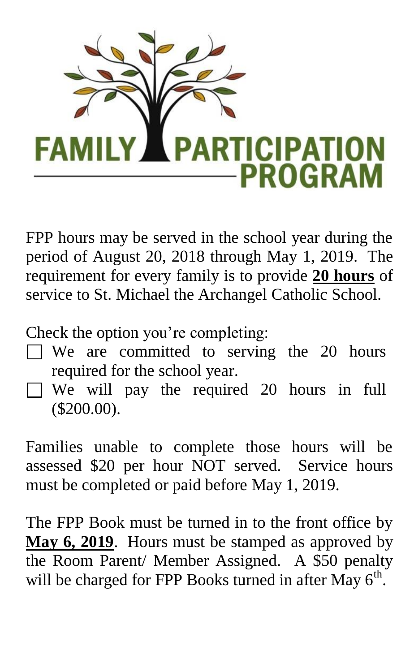

FPP hours may be served in the school year during the period of August 20, 2018 through May 1, 2019. The requirement for every family is to provide **20 hours** of service to St. Michael the Archangel Catholic School.

Check the option you're completing:

- $\Box$  We are committed to serving the 20 hours required for the school year.
- We will pay the required 20 hours in full (\$200.00).

Families unable to complete those hours will be assessed \$20 per hour NOT served. Service hours must be completed or paid before May 1, 2019.

The FPP Book must be turned in to the front office by **May 6, 2019**. Hours must be stamped as approved by the Room Parent/ Member Assigned. A \$50 penalty will be charged for FPP Books turned in after May  $6<sup>th</sup>$ .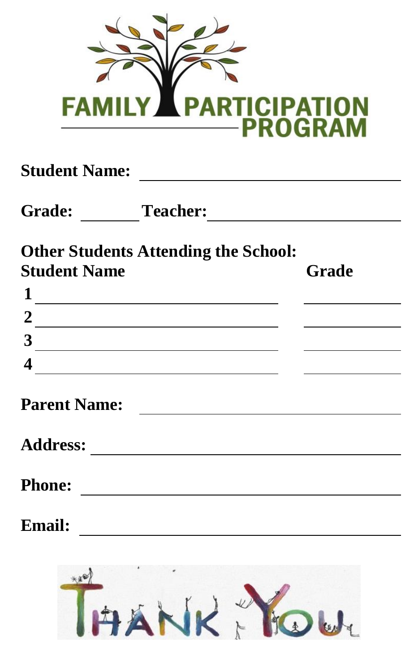

|                     | Grade: Teacher: Team Contract Contract Contract Contract Contract Contract Contract Contract Contract Contract Contract Contract Contract Contract Contract Contract Contract Contract Contract Contract Contract Contract Con |                                                                                                                                                                                                                                      |
|---------------------|--------------------------------------------------------------------------------------------------------------------------------------------------------------------------------------------------------------------------------|--------------------------------------------------------------------------------------------------------------------------------------------------------------------------------------------------------------------------------------|
|                     | <b>Other Students Attending the School:</b>                                                                                                                                                                                    |                                                                                                                                                                                                                                      |
| <b>Student Name</b> |                                                                                                                                                                                                                                | Grade                                                                                                                                                                                                                                |
|                     | $\frac{1}{\sqrt{1-\frac{1}{2}}\left(1-\frac{1}{2}\right)}$                                                                                                                                                                     | <u>and the state of the state of the state</u>                                                                                                                                                                                       |
|                     | $\frac{2}{\sqrt{2}}$                                                                                                                                                                                                           | <u>and the state of the state of the state of the state of the state of the state of the state of the state of the state of the state of the state of the state of the state of the state of the state of the state of the state</u> |
|                     | $\frac{3}{\sqrt{2}}$                                                                                                                                                                                                           | the contract of the contract of the contract of the                                                                                                                                                                                  |
| 4                   | <u> 1989 - Johann Barbara, martxa alemaniar a</u>                                                                                                                                                                              | <u> The Communication of the Communication</u>                                                                                                                                                                                       |
| <b>Parent Name:</b> |                                                                                                                                                                                                                                |                                                                                                                                                                                                                                      |
|                     |                                                                                                                                                                                                                                |                                                                                                                                                                                                                                      |
|                     |                                                                                                                                                                                                                                |                                                                                                                                                                                                                                      |
|                     |                                                                                                                                                                                                                                |                                                                                                                                                                                                                                      |

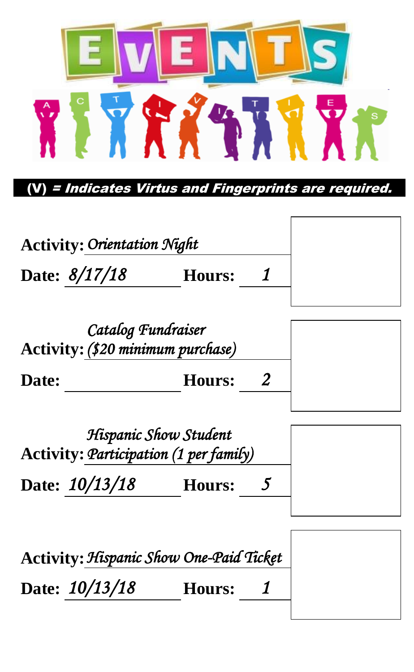

(V) = Indicates Virtus and Fingerprints are required.

| Hours: |                                    |
|--------|------------------------------------|
|        | <b>Activity: Orientation Night</b> |

|       | Catalog Fundraiser<br>Activity: (\$20 minimum purchase) |  |
|-------|---------------------------------------------------------|--|
| Date: | <b>Hours:</b>                                           |  |

|                | Hispanic Show Student<br>Activity: Participation (1 per family) |  |
|----------------|-----------------------------------------------------------------|--|
| Date: 10/13/18 | Hours:                                                          |  |

| Activity: Hispanic Show One-Paid Ticket |               |  |
|-----------------------------------------|---------------|--|
| Date: $10/13/18$                        | <b>Hours:</b> |  |
|                                         |               |  |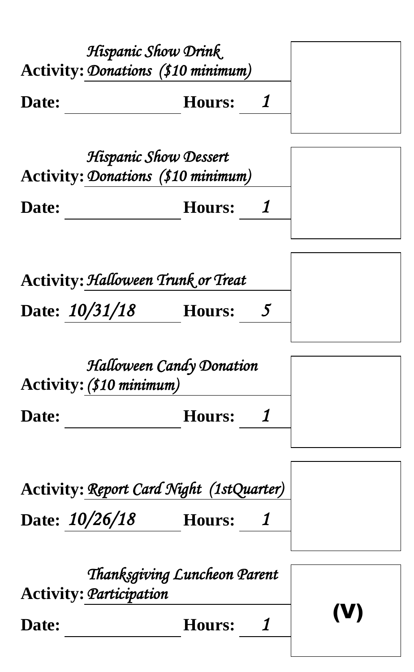|                                                                      | Hispanic Show Drink                           |  |
|----------------------------------------------------------------------|-----------------------------------------------|--|
| <b>Activity: Donations (\$10 minimum)</b>                            |                                               |  |
| Date:                                                                | 1<br><b>Hours:</b>                            |  |
| <b>Activity: Donations (\$10 minimum)</b>                            | Hispanic Show Dessert                         |  |
| Date:                                                                | 1<br><b>Hours:</b>                            |  |
| <b>Activity: Halloween Trunk or Treat</b><br>Date: $10/31/18$ Hours: | 5                                             |  |
| Activity: (\$10 minimum)                                             | Halloween Candy Donation                      |  |
| Date:                                                                | 1<br><b>Hours:</b>                            |  |
| Date: $10/26/18$ Hours:                                              | Activity: Report Card Night (1stQuarter)<br>1 |  |
| <b>Activity: Participation</b>                                       | Thanksgiving Luncheon Parent                  |  |
| Date:                                                                | 1<br><b>Hours:</b>                            |  |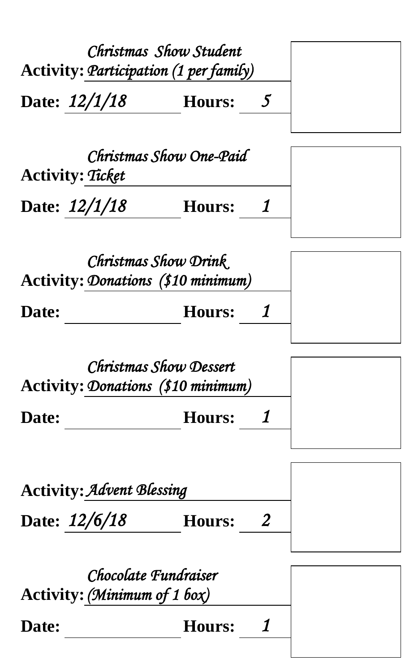| Christmas Show Student<br>Activity: Participation (1 per family)<br>Date: $12/1/18$ | <b>Hours:</b> | 5              |  |
|-------------------------------------------------------------------------------------|---------------|----------------|--|
| Christmas Show One-Paid<br>Activity: Ticket<br>Date: 12/1/18 Hours:                 |               | 1              |  |
| Christmas Show Drink<br><b>Activity: Donations (\$10 minimum)</b><br>Date:          | <b>Hours:</b> | 1              |  |
| Christmas Show Dessert<br><b>Activity: Donations (\$10 minimum)</b>                 |               |                |  |
| Date:                                                                               | <b>Hours:</b> | 1              |  |
| <b>Activity: Advent Blessing</b>                                                    |               |                |  |
| Date: 12/6/18                                                                       | <b>Hours:</b> | $\overline{2}$ |  |
| Chocolate Fundraiser<br>Activity: (Minimum of 1 box)                                |               |                |  |
| Date:                                                                               | Hours:        | 1              |  |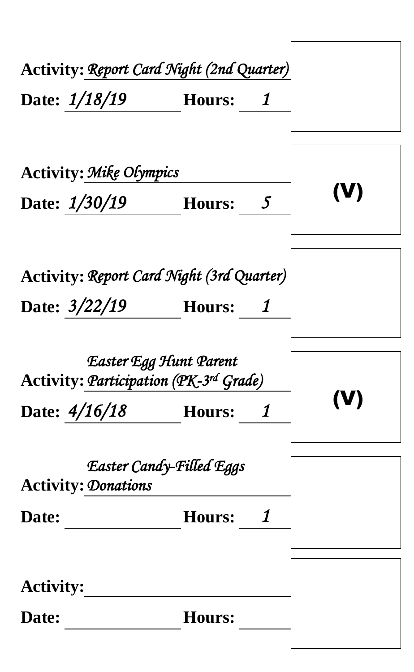| Activity: Report Card Night (2nd Quarter)                                                       |     |
|-------------------------------------------------------------------------------------------------|-----|
| Date: 1/18/19   Hours: 1                                                                        |     |
|                                                                                                 |     |
| <b>Activity: Mike Olympics</b>                                                                  |     |
| Date: 1/30/19 Hours: 5                                                                          | (V) |
|                                                                                                 |     |
| Activity: Report Card Night (3rd Quarter)                                                       |     |
| Date: $3/22/19$ Hours: 1                                                                        |     |
| Easter Egg Hunt Parent<br>Activity: Participation (PK-3rd Grade)<br>Date: $4/16/18$ Hours:<br>1 |     |
|                                                                                                 |     |
| Easter Candy-Filled Eggs<br><b>Activity: Donations</b>                                          |     |
| Date:<br><b>Hours:</b><br>1                                                                     |     |
|                                                                                                 |     |
| <b>Activity:</b>                                                                                |     |
| <b>Hours:</b><br>Date:                                                                          |     |